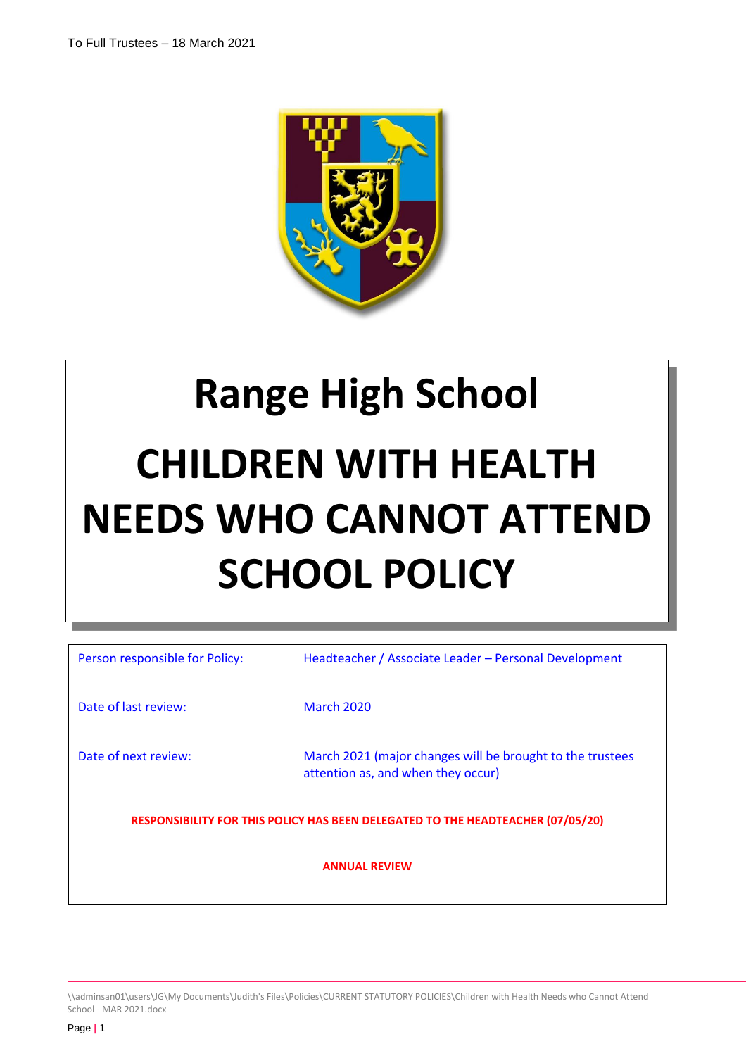

# **Range High School CHILDREN WITH HEALTH NEEDS WHO CANNOT ATTEND SCHOOL POLICY**

| Person responsible for Policy:                                                  | Headteacher / Associate Leader - Personal Development                                           |  |
|---------------------------------------------------------------------------------|-------------------------------------------------------------------------------------------------|--|
| Date of last review:                                                            | <b>March 2020</b>                                                                               |  |
| Date of next review:                                                            | March 2021 (major changes will be brought to the trustees<br>attention as, and when they occur) |  |
| RESPONSIBILITY FOR THIS POLICY HAS BEEN DELEGATED TO THE HEADTEACHER (07/05/20) |                                                                                                 |  |
| <b>ANNUAL REVIEW</b>                                                            |                                                                                                 |  |

\\adminsan01\users\JG\My Documents\Judith's Files\Policies\CURRENT STATUTORY POLICIES\Children with Health Needs who Cannot Attend School - MAR 2021.docx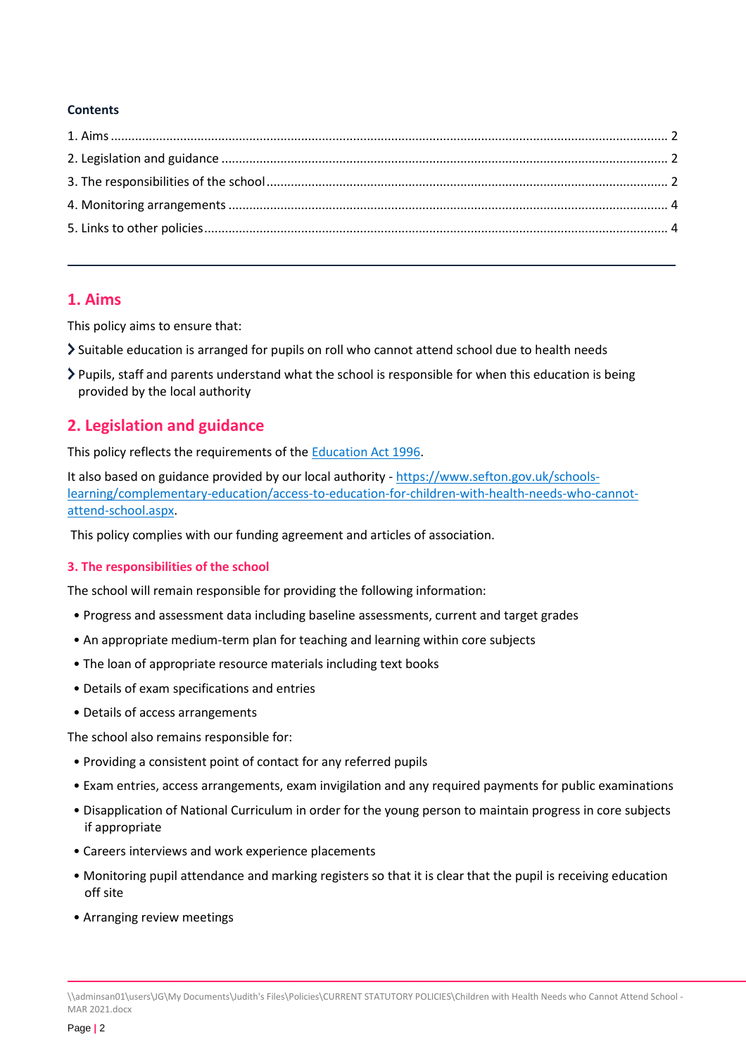#### **Contents**

# <span id="page-1-0"></span>**1. Aims**

This policy aims to ensure that:

- Suitable education is arranged for pupils on roll who cannot attend school due to health needs
- $\triangleright$  Pupils, staff and parents understand what the school is responsible for when this education is being provided by the local authority

# <span id="page-1-1"></span>**2. Legislation and guidance**

This policy reflects the requirements of th[e Education Act 1996.](http://www.legislation.gov.uk/ukpga/1996/56/section/19)

It also based on guidance provided by our local authority - [https://www.sefton.gov.uk/schools](https://www.sefton.gov.uk/schools-learning/complementary-education/access-to-education-for-children-with-health-needs-who-cannot-attend-school.aspx)[learning/complementary-education/access-to-education-for-children-with-health-needs-who-cannot](https://www.sefton.gov.uk/schools-learning/complementary-education/access-to-education-for-children-with-health-needs-who-cannot-attend-school.aspx)[attend-school.aspx.](https://www.sefton.gov.uk/schools-learning/complementary-education/access-to-education-for-children-with-health-needs-who-cannot-attend-school.aspx)

This policy complies with our funding agreement and articles of association.

#### <span id="page-1-2"></span>**3. The responsibilities of the school**

The school will remain responsible for providing the following information:

- Progress and assessment data including baseline assessments, current and target grades
- An appropriate medium-term plan for teaching and learning within core subjects
- The loan of appropriate resource materials including text books
- Details of exam specifications and entries
- Details of access arrangements

The school also remains responsible for:

- Providing a consistent point of contact for any referred pupils
- Exam entries, access arrangements, exam invigilation and any required payments for public examinations
- Disapplication of National Curriculum in order for the young person to maintain progress in core subjects if appropriate
- Careers interviews and work experience placements
- Monitoring pupil attendance and marking registers so that it is clear that the pupil is receiving education off site
- Arranging review meetings

\\adminsan01\users\JG\My Documents\Judith's Files\Policies\CURRENT STATUTORY POLICIES\Children with Health Needs who Cannot Attend School - MAR 2021.docx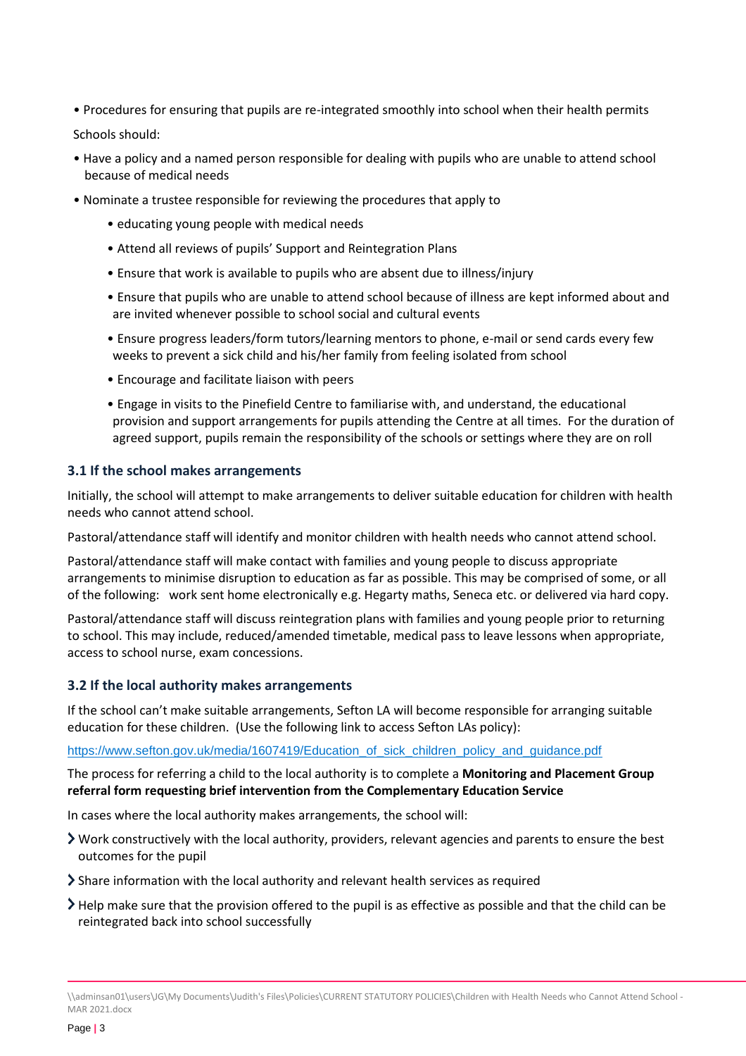• Procedures for ensuring that pupils are re-integrated smoothly into school when their health permits

Schools should:

- Have a policy and a named person responsible for dealing with pupils who are unable to attend school because of medical needs
- Nominate a trustee responsible for reviewing the procedures that apply to
	- educating young people with medical needs
	- Attend all reviews of pupils' Support and Reintegration Plans
	- Ensure that work is available to pupils who are absent due to illness/injury
	- Ensure that pupils who are unable to attend school because of illness are kept informed about and are invited whenever possible to school social and cultural events
	- Ensure progress leaders/form tutors/learning mentors to phone, e-mail or send cards every few weeks to prevent a sick child and his/her family from feeling isolated from school
	- Encourage and facilitate liaison with peers
	- Engage in visits to the Pinefield Centre to familiarise with, and understand, the educational provision and support arrangements for pupils attending the Centre at all times. For the duration of agreed support, pupils remain the responsibility of the schools or settings where they are on roll

#### **3.1 If the school makes arrangements**

Initially, the school will attempt to make arrangements to deliver suitable education for children with health needs who cannot attend school.

Pastoral/attendance staff will identify and monitor children with health needs who cannot attend school.

Pastoral/attendance staff will make contact with families and young people to discuss appropriate arrangements to minimise disruption to education as far as possible. This may be comprised of some, or all of the following: work sent home electronically e.g. Hegarty maths, Seneca etc. or delivered via hard copy.

Pastoral/attendance staff will discuss reintegration plans with families and young people prior to returning to school. This may include, reduced/amended timetable, medical pass to leave lessons when appropriate, access to school nurse, exam concessions.

#### **3.2 If the local authority makes arrangements**

If the school can't make suitable arrangements, Sefton LA will become responsible for arranging suitable education for these children. (Use the following link to access Sefton LAs policy):

#### [https://www.sefton.gov.uk/media/1607419/Education\\_of\\_sick\\_children\\_policy\\_and\\_guidance.pdf](https://www.sefton.gov.uk/media/1607419/Education_of_sick_children_policy_and_guidance.pdf)

The process for referring a child to the local authority is to complete a **Monitoring and Placement Group referral form requesting brief intervention from the Complementary Education Service**

In cases where the local authority makes arrangements, the school will:

- Work constructively with the local authority, providers, relevant agencies and parents to ensure the best outcomes for the pupil
- $\sum$  Share information with the local authority and relevant health services as required
- Help make sure that the provision offered to the pupil is as effective as possible and that the child can be reintegrated back into school successfully